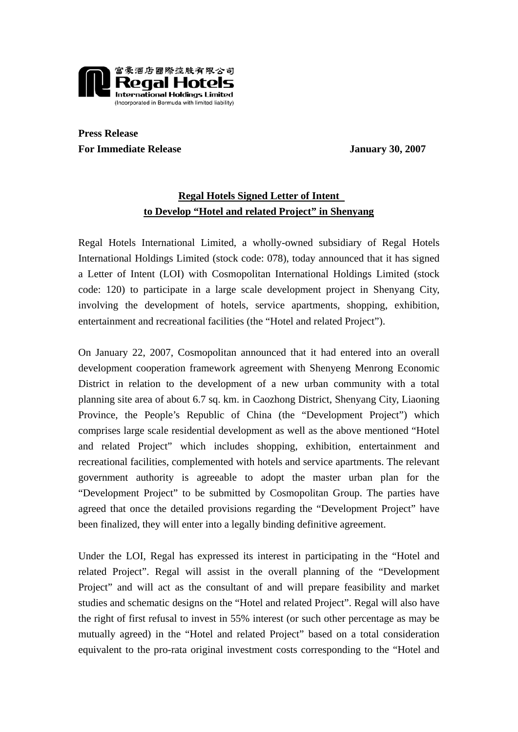

**Press Release**  For Immediate Release January 30, 2007

## **Regal Hotels Signed Letter of Intent to Develop "Hotel and related Project" in Shenyang**

Regal Hotels International Limited, a wholly-owned subsidiary of Regal Hotels International Holdings Limited (stock code: 078), today announced that it has signed a Letter of Intent (LOI) with Cosmopolitan International Holdings Limited (stock code: 120) to participate in a large scale development project in Shenyang City, involving the development of hotels, service apartments, shopping, exhibition, entertainment and recreational facilities (the "Hotel and related Project").

On January 22, 2007, Cosmopolitan announced that it had entered into an overall development cooperation framework agreement with Shenyeng Menrong Economic District in relation to the development of a new urban community with a total planning site area of about 6.7 sq. km. in Caozhong District, Shenyang City, Liaoning Province, the People's Republic of China (the "Development Project") which comprises large scale residential development as well as the above mentioned "Hotel and related Project" which includes shopping, exhibition, entertainment and recreational facilities, complemented with hotels and service apartments. The relevant government authority is agreeable to adopt the master urban plan for the "Development Project" to be submitted by Cosmopolitan Group. The parties have agreed that once the detailed provisions regarding the "Development Project" have been finalized, they will enter into a legally binding definitive agreement.

Under the LOI, Regal has expressed its interest in participating in the "Hotel and related Project". Regal will assist in the overall planning of the "Development Project" and will act as the consultant of and will prepare feasibility and market studies and schematic designs on the "Hotel and related Project". Regal will also have the right of first refusal to invest in 55% interest (or such other percentage as may be mutually agreed) in the "Hotel and related Project" based on a total consideration equivalent to the pro-rata original investment costs corresponding to the "Hotel and